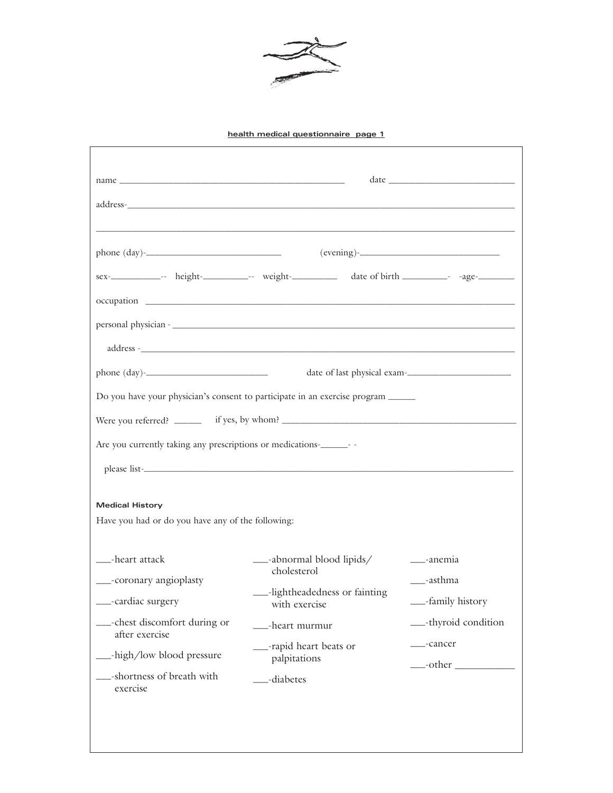

 $\sqrt{ }$ 

| name $\overline{\phantom{a}}$                              |                                                                                                     | $\begin{picture}(150,10) \put(0,0){\dashbox{0.5}(10,0){ }} \put(15,0){\circle{10}} \put(15,0){\circle{10}} \put(15,0){\circle{10}} \put(15,0){\circle{10}} \put(15,0){\circle{10}} \put(15,0){\circle{10}} \put(15,0){\circle{10}} \put(15,0){\circle{10}} \put(15,0){\circle{10}} \put(15,0){\circle{10}} \put(15,0){\circle{10}} \put(15,0){\circle{10}} \put(15,0){\circle{10}} \put(15$ |
|------------------------------------------------------------|-----------------------------------------------------------------------------------------------------|---------------------------------------------------------------------------------------------------------------------------------------------------------------------------------------------------------------------------------------------------------------------------------------------------------------------------------------------------------------------------------------------|
|                                                            |                                                                                                     |                                                                                                                                                                                                                                                                                                                                                                                             |
|                                                            |                                                                                                     |                                                                                                                                                                                                                                                                                                                                                                                             |
|                                                            |                                                                                                     | $(evening)$ - $\qquad \qquad$                                                                                                                                                                                                                                                                                                                                                               |
|                                                            | sex-_____________-- height-___________-- weight-___________ date of birth __________- -age-________ |                                                                                                                                                                                                                                                                                                                                                                                             |
|                                                            |                                                                                                     |                                                                                                                                                                                                                                                                                                                                                                                             |
|                                                            |                                                                                                     |                                                                                                                                                                                                                                                                                                                                                                                             |
|                                                            |                                                                                                     |                                                                                                                                                                                                                                                                                                                                                                                             |
|                                                            |                                                                                                     |                                                                                                                                                                                                                                                                                                                                                                                             |
|                                                            | Do you have your physician's consent to participate in an exercise program                          |                                                                                                                                                                                                                                                                                                                                                                                             |
|                                                            |                                                                                                     |                                                                                                                                                                                                                                                                                                                                                                                             |
| Are you currently taking any prescriptions or medications- |                                                                                                     |                                                                                                                                                                                                                                                                                                                                                                                             |
|                                                            |                                                                                                     |                                                                                                                                                                                                                                                                                                                                                                                             |
| <b>Medical History</b>                                     |                                                                                                     |                                                                                                                                                                                                                                                                                                                                                                                             |
| Have you had or do you have any of the following:          |                                                                                                     |                                                                                                                                                                                                                                                                                                                                                                                             |
| ___-heart attack                                           | __-abnormal blood lipids/<br>cholesterol                                                            | ___-anemia                                                                                                                                                                                                                                                                                                                                                                                  |
| ___-coronary angioplasty<br>___-cardiac surgery            | -lightheadedness or fainting<br>with exercise                                                       | ___-asthma<br>__-family history                                                                                                                                                                                                                                                                                                                                                             |
| __-chest discomfort during or<br>after exercise            | ___-heart murmur                                                                                    | __-thyroid condition                                                                                                                                                                                                                                                                                                                                                                        |
| __-high/low blood pressure                                 | __-rapid heart beats or<br>palpitations                                                             | ___-cancer<br>$\frac{\phantom{1}}{2}$ -other                                                                                                                                                                                                                                                                                                                                                |
| -shortness of breath with<br>exercise                      | __-diabetes                                                                                         |                                                                                                                                                                                                                                                                                                                                                                                             |
|                                                            |                                                                                                     |                                                                                                                                                                                                                                                                                                                                                                                             |
|                                                            |                                                                                                     |                                                                                                                                                                                                                                                                                                                                                                                             |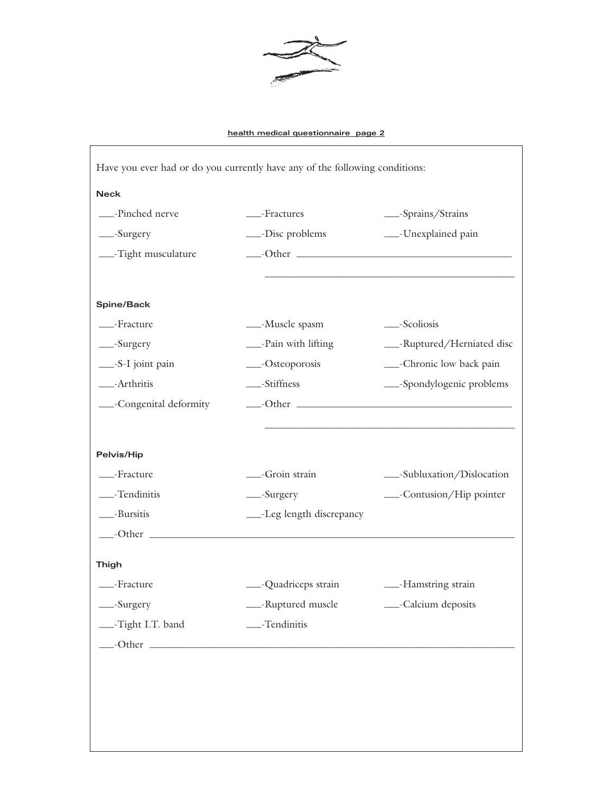

|                         | Have you ever had or do you currently have any of the following conditions: |                             |
|-------------------------|-----------------------------------------------------------------------------|-----------------------------|
| <b>Neck</b>             |                                                                             |                             |
| __-Pinched nerve        | ___-Fractures                                                               | __-Sprains/Strains          |
| __-Surgery              | -Disc problems                                                              | ___-Unexplained pain        |
| -Tight musculature      |                                                                             |                             |
|                         |                                                                             |                             |
| Spine/Back              |                                                                             |                             |
| -Fracture               | -Muscle spasm                                                               | __-Scoliosis                |
| __-Surgery              | ___-Pain with lifting                                                       | ___-Ruptured/Herniated disc |
| __-S-I joint pain       | __-Osteoporosis                                                             | ___-Chronic low back pain   |
| -Arthritis              | ___-Stiffness                                                               | -Spondylogenic problems     |
| __-Congenital deformity |                                                                             |                             |
|                         |                                                                             |                             |
| Pelvis/Hip              |                                                                             |                             |
| -Fracture               | -Groin strain                                                               | __-Subluxation/Dislocation  |
| ___-Tendinitis          | __-Surgery                                                                  | ___-Contusion/Hip pointer   |
| __-Bursitis             | ___-Leg length discrepancy                                                  |                             |
|                         |                                                                             |                             |
| <b>Thigh</b>            |                                                                             |                             |
| -Fracture               | ___-Quadriceps strain                                                       | -Bamstring strain           |
| __-Surgery              | ___-Ruptured muscle __________-Calcium deposits                             |                             |
| -Tight I.T. band        | ___-Tendinitis                                                              |                             |
|                         |                                                                             |                             |
|                         |                                                                             |                             |
|                         |                                                                             |                             |
|                         |                                                                             |                             |
|                         |                                                                             |                             |
|                         |                                                                             |                             |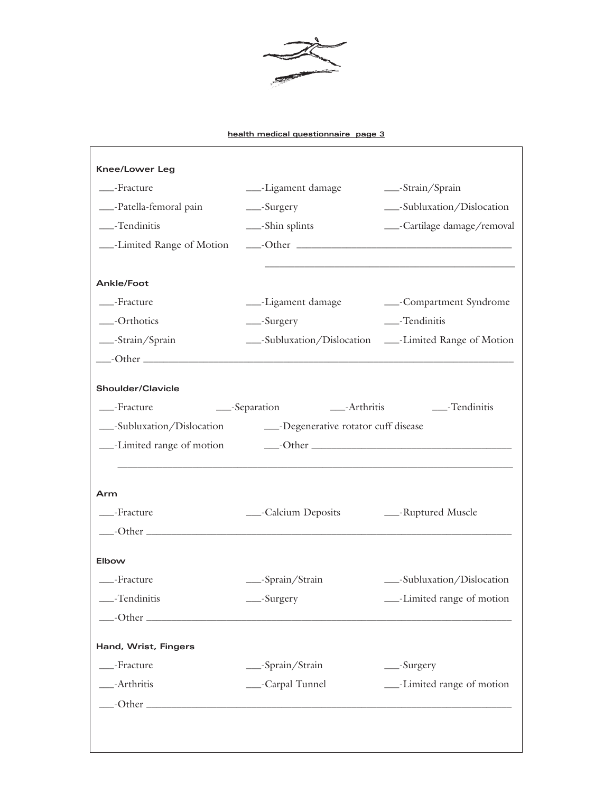

| <b>Knee/Lower Leg</b>                                                  |                                                                                                                       |                                                          |
|------------------------------------------------------------------------|-----------------------------------------------------------------------------------------------------------------------|----------------------------------------------------------|
| -Fracture                                                              | ____-Ligament damage                                                                                                  | -Strain/Sprain                                           |
| ___-Patella-femoral pain                                               | $\_\_\$ -Surgery                                                                                                      | __-Subluxation/Dislocation                               |
| $\_\_\$ -Tendinitis                                                    | ___-Shin splints                                                                                                      | ___-Cartilage damage/removal                             |
| -Limited Range of Motion                                               |                                                                                                                       |                                                          |
|                                                                        |                                                                                                                       |                                                          |
| <b>Ankle/Foot</b>                                                      |                                                                                                                       |                                                          |
| -Fracture                                                              |                                                                                                                       | --Ligament damage compartment Syndrome                   |
| -Orthotics                                                             | __-Surgery                                                                                                            | ___-Tendinitis                                           |
| __-Strain/Sprain                                                       |                                                                                                                       | ___-Subluxation/Dislocation ____-Limited Range of Motion |
| $\qquad$ -Other $\qquad$                                               |                                                                                                                       |                                                          |
| Shoulder/Clavicle                                                      |                                                                                                                       |                                                          |
| -Fracture                                                              | ___-Separation ______-Arthritis _______-Tendinitis                                                                    |                                                          |
| ___-Subluxation/Dislocation ________-Degenerative rotator cuff disease |                                                                                                                       |                                                          |
|                                                                        |                                                                                                                       |                                                          |
|                                                                        | <u> 1989 - Johann Stoff, deutscher Stoff, der Stoff, der Stoff, der Stoff, der Stoff, der Stoff, der Stoff, der S</u> |                                                          |
| Arm                                                                    |                                                                                                                       |                                                          |
| -Fracture                                                              | - Calcium Deposits - - Ruptured Muscle                                                                                |                                                          |
|                                                                        |                                                                                                                       |                                                          |
| Elbow                                                                  |                                                                                                                       |                                                          |
| -Fracture                                                              | __-Sprain/Strain                                                                                                      | __-Subluxation/Dislocation                               |
| _Fendinitis                                                            | -Surgery                                                                                                              | -Limited range of motion                                 |
|                                                                        |                                                                                                                       |                                                          |
|                                                                        |                                                                                                                       |                                                          |
| Hand, Wrist, Fingers                                                   |                                                                                                                       |                                                          |
| ___-Fracture                                                           | -Sprain/Strain                                                                                                        | __-Surgery                                               |
| -Arthritis                                                             | __-Carpal Tunnel                                                                                                      | -Limited range of motion                                 |
|                                                                        |                                                                                                                       |                                                          |
|                                                                        |                                                                                                                       |                                                          |
|                                                                        |                                                                                                                       |                                                          |
|                                                                        |                                                                                                                       |                                                          |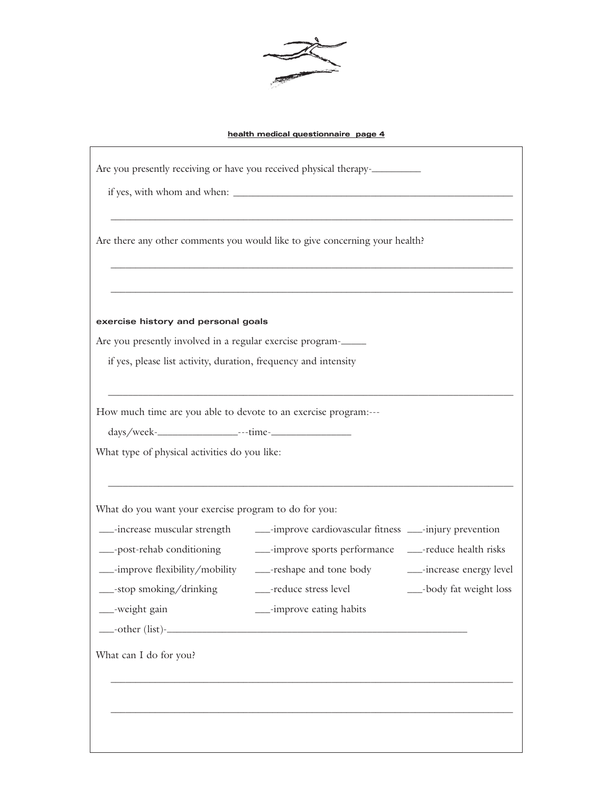

| Are you presently receiving or have you received physical therapy-                                                           |                                                                                                                                                                                                                                                                                                                                    |  |  |  |
|------------------------------------------------------------------------------------------------------------------------------|------------------------------------------------------------------------------------------------------------------------------------------------------------------------------------------------------------------------------------------------------------------------------------------------------------------------------------|--|--|--|
|                                                                                                                              |                                                                                                                                                                                                                                                                                                                                    |  |  |  |
| Are there any other comments you would like to give concerning your health?                                                  |                                                                                                                                                                                                                                                                                                                                    |  |  |  |
| exercise history and personal goals                                                                                          |                                                                                                                                                                                                                                                                                                                                    |  |  |  |
| Are you presently involved in a regular exercise program-<br>if yes, please list activity, duration, frequency and intensity |                                                                                                                                                                                                                                                                                                                                    |  |  |  |
| How much time are you able to devote to an exercise program:---<br>What type of physical activities do you like:             |                                                                                                                                                                                                                                                                                                                                    |  |  |  |
| What do you want your exercise program to do for you:                                                                        |                                                                                                                                                                                                                                                                                                                                    |  |  |  |
| __-increase muscular strength<br>__-stop smoking/drinking<br>__-weight gain                                                  | ___-improve cardiovascular fitness ___-injury prevention<br>___-post-rehab conditioning _______-improve sports performance ____-reduce health risks<br>___-improve flexibility/mobility _____-reshape and tone body ______-increase energy level<br>___-reduce stress level<br>__-body fat weight loss<br>__-improve eating habits |  |  |  |
| What can I do for you?                                                                                                       |                                                                                                                                                                                                                                                                                                                                    |  |  |  |